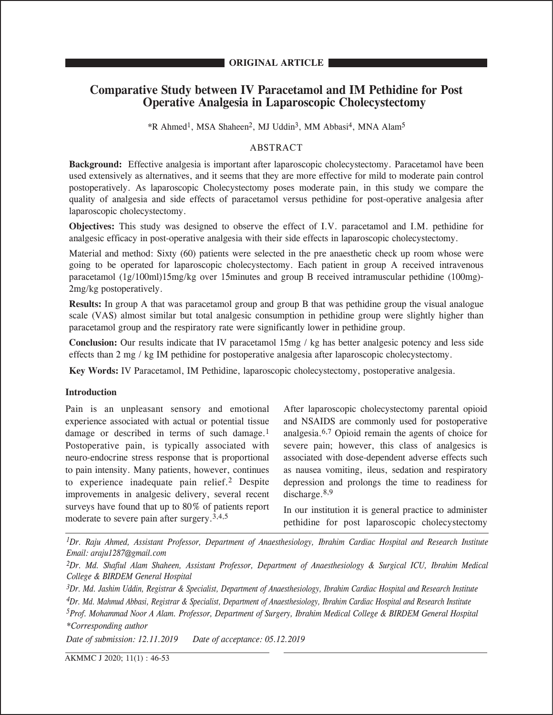# **Comparative Study between IV Paracetamol and IM Pethidine for Post Operative Analgesia in Laparoscopic Cholecystectomy**

\*R Ahmed1, MSA Shaheen2, MJ Uddin3, MM Abbasi4, MNA Alam5

# ABSTRACT

**Background:** Effective analgesia is important after laparoscopic cholecystectomy. Paracetamol have been used extensively as alternatives, and it seems that they are more effective for mild to moderate pain control postoperatively. As laparoscopic Cholecystectomy poses moderate pain, in this study we compare the quality of analgesia and side effects of paracetamol versus pethidine for post-operative analgesia after laparoscopic cholecystectomy.

**Objectives:** This study was designed to observe the effect of I.V. paracetamol and I.M. pethidine for analgesic efficacy in post-operative analgesia with their side effects in laparoscopic cholecystectomy.

Material and method: Sixty (60) patients were selected in the pre anaesthetic check up room whose were going to be operated for laparoscopic cholecystectomy. Each patient in group A received intravenous paracetamol (1g/100ml)15mg/kg over 15minutes and group B received intramuscular pethidine (100mg)- 2mg/kg postoperatively.

**Results:** In group A that was paracetamol group and group B that was pethidine group the visual analogue scale (VAS) almost similar but total analgesic consumption in pethidine group were slightly higher than paracetamol group and the respiratory rate were significantly lower in pethidine group.

**Conclusion:** Our results indicate that IV paracetamol 15mg / kg has better analgesic potency and less side effects than 2 mg / kg IM pethidine for postoperative analgesia after laparoscopic cholecystectomy.

**Key Words:** IV Paracetamol, IM Pethidine, laparoscopic cholecystectomy, postoperative analgesia.

# **Introduction**

Pain is an unpleasant sensory and emotional experience associated with actual or potential tissue damage or described in terms of such damage.<sup>1</sup> Postoperative pain, is typically associated with neuro-endocrine stress response that is proportional to pain intensity. Many patients, however, continues to experience inadequate pain relief.2 Despite improvements in analgesic delivery, several recent surveys have found that up to 80% of patients report moderate to severe pain after surgery.3,4,5

After laparoscopic cholecystectomy parental opioid and NSAIDS are commonly used for postoperative analgesia.6,7 Opioid remain the agents of choice for severe pain; however, this class of analgesics is associated with dose-dependent adverse effects such as nausea vomiting, ileus, sedation and respiratory depression and prolongs the time to readiness for discharge.<sup>8,9</sup>

In our institution it is general practice to administer pethidine for post laparoscopic cholecystectomy

*1Dr. Raju Ahmed, Assistant Professor, Department of Anaesthesiology, Ibrahim Cardiac Hospital and Research Institute Email: araju1287@gmail.com*

*2Dr. Md. Shafiul Alam Shaheen, Assistant Professor, Department of Anaesthesiology & Surgical ICU, Ibrahim Medical College & BIRDEM General Hospital*

*3Dr. Md. Jashim Uddin, Registrar & Specialist, Department of Anaesthesiology, Ibrahim Cardiac Hospital and Research Institute*

*4Dr. Md. Mahmud Abbasi, Registrar & Specialist, Department of Anaesthesiology, Ibrahim Cardiac Hospital and Research Institute 5Prof. Mohammad Noor A Alam. Professor, Department of Surgery, Ibrahim Medical College & BIRDEM General Hospital*

*\*Corresponding author*

*Date of submission: 12.11.2019 Date of acceptance: 05.12.2019*

AKMMC J 2020; 11(1) : 46-53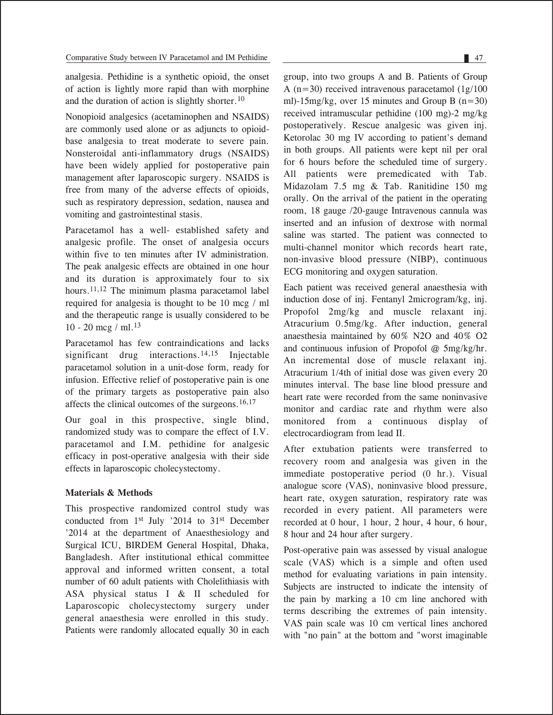analgesia. Pethidine is a synthetic opioid, the onset of action is lightly more rapid than with morphine and the duration of action is slightly shorter.10

Nonopioid analgesics (acetaminophen and NSAIDS) are commonly used alone or as adjuncts to opioidbase analgesia to treat moderate to severe pain. Nonsteroidal anti-inflammatory drugs (NSAIDS) have been widely applied for postoperative pain management after laparoscopic surgery. NSAIDS is free from many of the adverse effects of opioids, such as respiratory depression, sedation, nausea and vomiting and gastrointestinal stasis.

Paracetamol has a well- established safety and analgesic profile. The onset of analgesia occurs within five to ten minutes after IV administration. The peak analgesic effects are obtained in one hour and its duration is approximately four to six hours.<sup>11,12</sup> The minimum plasma paracetamol label required for analgesia is thought to be 10 mcg / ml and the therapeutic range is usually considered to be 10 - 20 mcg / ml.13

Paracetamol has few contraindications and lacks significant drug interactions.<sup>14,15</sup> Injectable paracetamol solution in a unit-dose form, ready for infusion. Effective relief of postoperative pain is one of the primary targets as postoperative pain also affects the clinical outcomes of the surgeons.16,17

Our goal in this prospective, single blind, randomized study was to compare the effect of I.V. paracetamol and I.M. pethidine for analgesic efficacy in post-operative analgesia with their side effects in laparoscopic cholecystectomy.

# **Materials & Methods**

This prospective randomized control study was conducted from 1st July '2014 to 31st December '2014 at the department of Anaesthesiology and Surgical ICU, BIRDEM General Hospital, Dhaka, Bangladesh. After institutional ethical committee approval and informed written consent, a total number of 60 adult patients with Cholelithiasis with ASA physical status I & II scheduled for Laparoscopic cholecystectomy surgery under general anaesthesia were enrolled in this study. Patients were randomly allocated equally 30 in each group, into two groups A and B. Patients of Group A ( $n=30$ ) received intravenous paracetamol ( $1g/100$ ) ml)-15mg/kg, over 15 minutes and Group B  $(n=30)$ received intramuscular pethidine (100 mg)-2 mg/kg postoperatively. Rescue analgesic was given inj. Ketorolac 30 mg IV according to patient's demand in both groups. All patients were kept nil per oral for 6 hours before the scheduled time of surgery. All patients were premedicated with Tab. Midazolam 7.5 mg & Tab. Ranitidine 150 mg orally. On the arrival of the patient in the operating room, 18 gauge /20-gauge Intravenous cannula was inserted and an infusion of dextrose with normal saline was started. The patient was connected to multi-channel monitor which records heart rate, non-invasive blood pressure (NIBP), continuous ECG monitoring and oxygen saturation.

Each patient was received general anaesthesia with induction dose of inj. Fentanyl 2microgram/kg, inj. Propofol 2mg/kg and muscle relaxant inj. Atracurium 0.5mg/kg. After induction, general anaesthesia maintained by 60% N2O and 40% O2 and continuous infusion of Propofol @ 5mg/kg/hr. An incremental dose of muscle relaxant inj. Atracurium 1/4th of initial dose was given every 20 minutes interval. The base line blood pressure and heart rate were recorded from the same noninvasive monitor and cardiac rate and rhythm were also monitored from a continuous display of electrocardiogram from lead II.

After extubation patients were transferred to recovery room and analgesia was given in the immediate postoperative period (0 hr.). Visual analogue score (VAS), noninvasive blood pressure, heart rate, oxygen saturation, respiratory rate was recorded in every patient. All parameters were recorded at 0 hour, 1 hour, 2 hour, 4 hour, 6 hour, 8 hour and 24 hour after surgery.

Post-operative pain was assessed by visual analogue scale (VAS) which is a simple and often used method for evaluating variations in pain intensity. Subjects are instructed to indicate the intensity of the pain by marking a 10 cm line anchored with terms describing the extremes of pain intensity. VAS pain scale was 10 cm vertical lines anchored with "no pain" at the bottom and "worst imaginable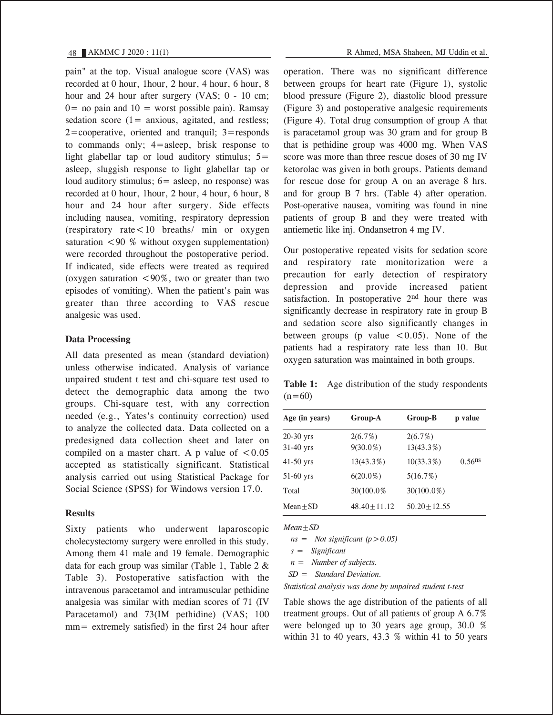pain" at the top. Visual analogue score (VAS) was recorded at 0 hour, 1hour, 2 hour, 4 hour, 6 hour, 8 hour and 24 hour after surgery (VAS; 0 - 10 cm;  $0=$  no pain and  $10=$  worst possible pain). Ramsay sedation score  $(1=$  anxious, agitated, and restless;  $2 =$ cooperative, oriented and tranquil;  $3 =$ responds to commands only; 4=asleep, brisk response to light glabellar tap or loud auditory stimulus;  $5=$ asleep, sluggish response to light glabellar tap or loud auditory stimulus;  $6 =$  asleep, no response) was recorded at 0 hour, 1hour, 2 hour, 4 hour, 6 hour, 8 hour and 24 hour after surgery. Side effects including nausea, vomiting, respiratory depression (respiratory rate<10 breaths/ min or oxygen saturation  $\leq 90$  % without oxygen supplementation) were recorded throughout the postoperative period. If indicated, side effects were treated as required (oxygen saturation  $\leq 90\%$ , two or greater than two episodes of vomiting). When the patient's pain was greater than three according to VAS rescue analgesic was used.

### **Data Processing**

All data presented as mean (standard deviation) unless otherwise indicated. Analysis of variance unpaired student t test and chi-square test used to detect the demographic data among the two groups. Chi-square test, with any correction needed (e.g., Yates's continuity correction) used to analyze the collected data. Data collected on a predesigned data collection sheet and later on compiled on a master chart. A p value of  $\leq 0.05$ accepted as statistically significant. Statistical analysis carried out using Statistical Package for Social Science (SPSS) for Windows version 17.0.

# **Results**

Sixty patients who underwent laparoscopic cholecystectomy surgery were enrolled in this study. Among them 41 male and 19 female. Demographic data for each group was similar (Table 1, Table 2 & Table 3). Postoperative satisfaction with the intravenous paracetamol and intramuscular pethidine analgesia was similar with median scores of 71 (IV Paracetamol) and 73(IM pethidine) (VAS; 100 mm= extremely satisfied) in the first 24 hour after

operation. There was no significant difference between groups for heart rate (Figure 1), systolic blood pressure (Figure 2), diastolic blood pressure (Figure 3) and postoperative analgesic requirements (Figure 4). Total drug consumption of group A that is paracetamol group was 30 gram and for group B that is pethidine group was 4000 mg. When VAS score was more than three rescue doses of 30 mg IV ketorolac was given in both groups. Patients demand for rescue dose for group A on an average 8 hrs. and for group B 7 hrs. (Table 4) after operation. Post-operative nausea, vomiting was found in nine patients of group B and they were treated with antiemetic like inj. Ondansetron 4 mg IV.

Our postoperative repeated visits for sedation score and respiratory rate monitorization were a precaution for early detection of respiratory depression and provide increased patient satisfaction. In postoperative  $2<sup>nd</sup>$  hour there was significantly decrease in respiratory rate in group B and sedation score also significantly changes in between groups (p value  $\leq 0.05$ ). None of the patients had a respiratory rate less than 10. But oxygen saturation was maintained in both groups.

Table 1: Age distribution of the study respondents  $(n=60)$ 

| Age (in years) | Group-A         | Group-B           | p value              |
|----------------|-----------------|-------------------|----------------------|
| 20-30 yrs      | 2(6.7%)         | 2(6.7%)           |                      |
| 31-40 yrs      | $9(30.0\%)$     | 13(43.3%)         |                      |
| 41-50 yrs      | 13(43.3%)       | $10(33.3\%)$      | $0.56$ <sup>ns</sup> |
| 51-60 yrs      | $6(20.0\%)$     | 5(16.7%)          |                      |
| Total          | 30(100.0%)      | $30(100.0\%)$     |                      |
| Mean $\pm$ SD  | $48.40 + 11.12$ | $50.20 \pm 12.55$ |                      |

*Mean±SD*

 *ns = Not significant (p>0.05)*

 *s = Significant*

 *n = Number of subjects.*

 *SD = Standard Deviation.*

*Statistical analysis was done by unpaired student t-test*

Table shows the age distribution of the patients of all treatment groups. Out of all patients of group A 6.7% were belonged up to 30 years age group, 30.0 % within 31 to 40 years, 43.3  $%$  within 41 to 50 years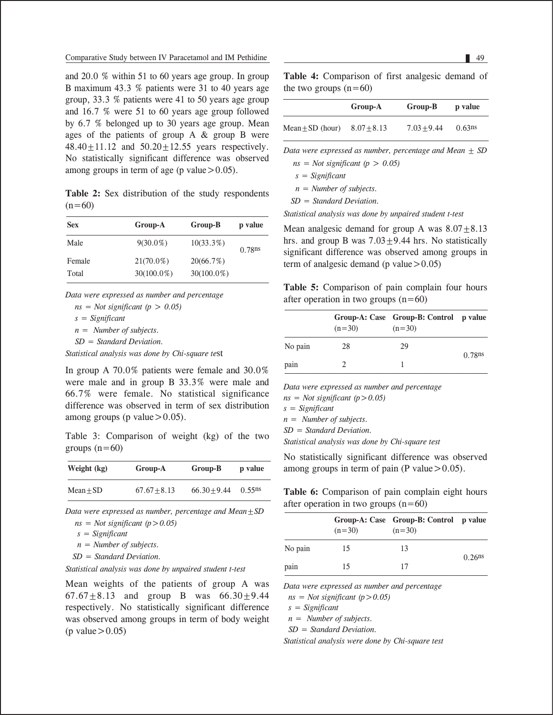and 20.0 % within 51 to 60 years age group. In group B maximum 43.3 % patients were 31 to 40 years age group, 33.3 % patients were 41 to 50 years age group and 16.7 % were 51 to 60 years age group followed by 6.7 % belonged up to 30 years age group. Mean ages of the patients of group A & group B were 48.40 $\pm$ 11.12 and 50.20 $\pm$ 12.55 years respectively. No statistically significant difference was observed among groups in term of age (p value  $> 0.05$ ).

**Table 2:** Sex distribution of the study respondents  $(n=60)$ 

| <b>Sex</b> | Group-A       | Group-B       | p value |
|------------|---------------|---------------|---------|
| Male       | $9(30.0\%)$   | $10(33.3\%)$  | 0.78ns  |
| Female     | $21(70.0\%)$  | 20(66.7%)     |         |
| Total      | $30(100.0\%)$ | $30(100.0\%)$ |         |

*Data were expressed as number and percentage* 

 *ns = Not significant (p > 0.05)*

 *s = Significant*

 *n = Number of subjects.*

 *SD = Standard Deviation.*

*Statistical analysis was done by Chi-square te*st

In group A 70.0% patients were female and 30.0% were male and in group B 33.3% were male and 66.7% were female. No statistical significance difference was observed in term of sex distribution among groups (p value  $> 0.05$ ).

Table 3: Comparison of weight (kg) of the two groups  $(n=60)$ 

| Weight (kg)   | Group-A        | Group-B        | p value   |
|---------------|----------------|----------------|-----------|
| $Mean \pm SD$ | $67.67 + 8.13$ | $66.30 + 9.44$ | $0.55$ ns |

*Data were expressed as number, percentage and Mean±SD* 

 *ns = Not significant (p>0.05)*

 *s = Significant*

 *n = Number of subjects.*

 *SD = Standard Deviation.*

*Statistical analysis was done by unpaired student t-test*

Mean weights of the patients of group A was 67.67 $\pm$ 8.13 and group B was 66.30 $\pm$ 9.44 respectively. No statistically significant difference was observed among groups in term of body weight  $(p$  value $> 0.05$ )

**Table 4:** Comparison of first analgesic demand of the two groups  $(n=60)$ 

|                      | Group-A       | Group-B       | p value            |
|----------------------|---------------|---------------|--------------------|
| Mean $\pm$ SD (hour) | $8.07 + 8.13$ | $7.03 + 9.44$ | 0.63 <sup>ns</sup> |

*Data were expressed as number, percentage and Mean ± SD* 

 $ns = Not significant (p > 0.05)$ 

 *s = Significant*

 *n = Number of subjects.*

 *SD = Standard Deviation.*

*Statistical analysis was done by unpaired student t-test*

Mean analgesic demand for group A was  $8.07 + 8.13$ hrs. and group B was  $7.03 \pm 9.44$  hrs. No statistically significant difference was observed among groups in term of analgesic demand (p value  $> 0.05$ )

**Table 5:** Comparison of pain complain four hours after operation in two groups  $(n=60)$ 

|         | $(n=30)$ | Group-A: Case Group-B: Control p value<br>$(n=30)$ |           |
|---------|----------|----------------------------------------------------|-----------|
| No pain | 28       | 29                                                 | $0.78$ ns |
| pain    |          |                                                    |           |

*Data were expressed as number and percentage* 

*ns = Not significant (p>0.05)*

*s = Significant*

*n = Number of subjects.*

*SD = Standard Deviation.*

*Statistical analysis was done by Chi-square test*

No statistically significant difference was observed among groups in term of pain (P value  $> 0.05$ ).

**Table 6:** Comparison of pain complain eight hours after operation in two groups  $(n=60)$ 

|         | $(n=30)$ | Group-A: Case Group-B: Control p value<br>$(n=30)$ |           |  |
|---------|----------|----------------------------------------------------|-----------|--|
| No pain | 15       | 13                                                 | $0.26$ ns |  |
| pain    | 15       | 17                                                 |           |  |

*Data were expressed as number and percentage* 

 $ns = Not significant (p > 0.05)$ 

 *s = Significant*

 *n = Number of subjects.*

 *SD = Standard Deviation.*

*Statistical analysis were done by Chi-square test*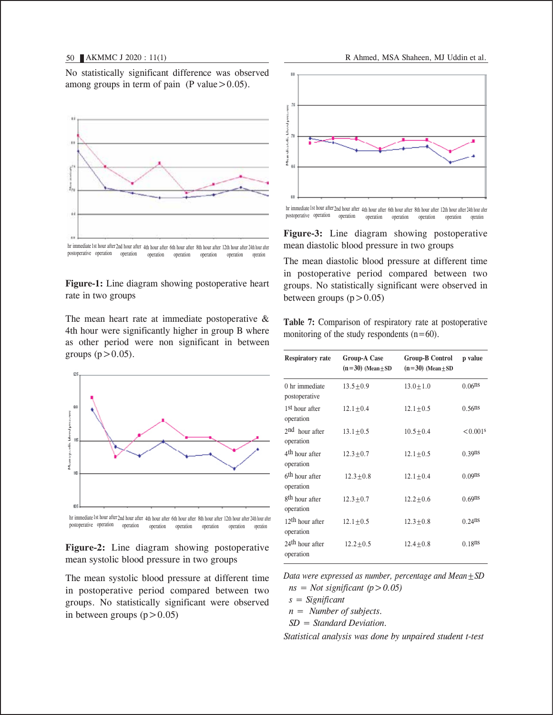No statistically significant difference was observed among groups in term of pain (P value  $> 0.05$ ).



hr immediate 1st hour after 2nd hour after 4th hour after 6th hour after 8th hour after 12th hour after 24th hour after postoperative operation operation operation operation operation operation operation

**Figure-1:** Line diagram showing postoperative heart rate in two groups

The mean heart rate at immediate postoperative & 4th hour were significantly higher in group B where as other period were non significant in between groups  $(p>0.05)$ .





**Figure-2:** Line diagram showing postoperative mean systolic blood pressure in two groups

The mean systolic blood pressure at different time in postoperative period compared between two groups. No statistically significant were observed in between groups  $(p>0.05)$ 





**Figure-3:** Line diagram showing postoperative mean diastolic blood pressure in two groups

The mean diastolic blood pressure at different time in postoperative period compared between two groups. No statistically significant were observed in between groups  $(p>0.05)$ 

**Table 7:** Comparison of respiratory rate at postoperative monitoring of the study respondents  $(n=60)$ .

| <b>Respiratory rate</b>                  | <b>Group-A Case</b><br>$(n=30)$ (Mean $\pm$ SD | <b>Group-B Control</b><br>$(n=30)$ (Mean $\pm$ SD | p value                |
|------------------------------------------|------------------------------------------------|---------------------------------------------------|------------------------|
| 0 hr immediate<br>postoperative          | $13.5 + 0.9$                                   | $13.0 + 1.0$                                      | $0.06$ ns              |
| 1 <sup>st</sup> hour after<br>operation  | $12.1 + 0.4$                                   | $12.1 + 0.5$                                      | $0.56$ <sup>ns</sup>   |
| 2 <sup>nd</sup> hour after<br>operation  | $13.1 \pm 0.5$                                 | $10.5 + 0.4$                                      | $< 0.001$ <sup>s</sup> |
| 4 <sup>th</sup> hour after<br>operation  | $12.3 \pm 0.7$                                 | $12.1 + 0.5$                                      | $0.39$ ns              |
| 6 <sup>th</sup> hour after<br>operation  | $12.3 + 0.8$                                   | $12.1 + 0.4$                                      | 0.09 <sup>ns</sup>     |
| 8 <sup>th</sup> hour after<br>operation  | $12.3 + 0.7$                                   | $12.2 + 0.6$                                      | $0.69$ ns              |
| $12th$ hour after<br>operation           | $12.1 + 0.5$                                   | $12.3 + 0.8$                                      | $0.24$ ns              |
| 24 <sup>th</sup> hour after<br>operation | $12.2 + 0.5$                                   | $12.4 + 0.8$                                      | $0.18$ ns              |

*Data were expressed as number, percentage and Mean±SD*  $ns = Not significant (p > 0.05)$ 

 *s = Significant*

 *n = Number of subjects.*

 *SD = Standard Deviation.*

*Statistical analysis was done by unpaired student t-test*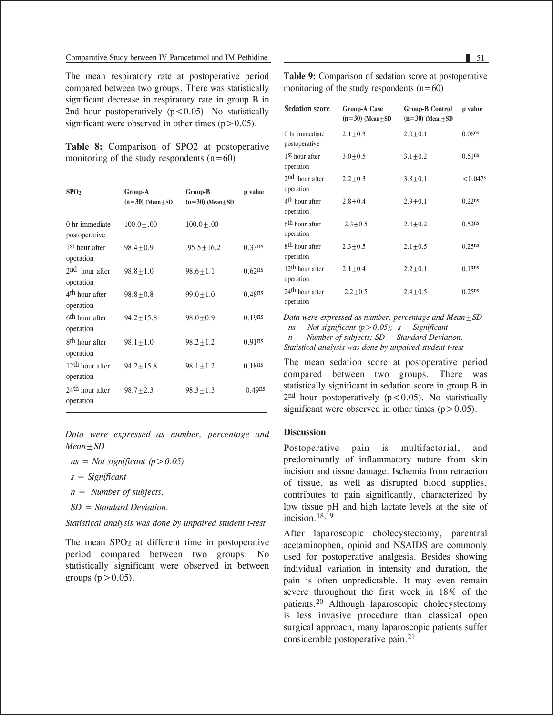The mean respiratory rate at postoperative period compared between two groups. There was statistically significant decrease in respiratory rate in group B in 2nd hour postoperatively  $(p<0.05)$ . No statistically significant were observed in other times  $(p>0.05)$ .

**Table 8:** Comparison of SPO2 at postoperative monitoring of the study respondents  $(n=60)$ 

| SPO <sub>2</sub>                         | Group-A<br>$(n=30)$ (Mean $\pm$ SD | Group-B<br>$(n=30)$ (Mean $\pm$ SD | p value   |
|------------------------------------------|------------------------------------|------------------------------------|-----------|
| 0 hr immediate<br>postoperative          | $100.0 \pm .00$                    | $100.0 + .00$                      |           |
| 1 <sup>st</sup> hour after<br>operation  | $98.4 + 0.9$                       | $95.5 + 16.2$                      | $0.33$ ns |
| 2 <sup>nd</sup> hour after<br>operation  | $98.8 + 1.0$                       | $98.6 + 1.1$                       | $0.62$ ns |
| 4 <sup>th</sup> hour after<br>operation  | $98.8 + 0.8$                       | $99.0 + 1.0$                       | $0.48$ ns |
| 6 <sup>th</sup> hour after<br>operation  | $94.2 + 15.8$                      | $98.0 + 0.9$                       | $0.19$ ns |
| 8 <sup>th</sup> hour after<br>operation  | $98.1 \pm 1.0$                     | $98.2 \pm 1.2$                     | $0.91$ ns |
| $12th$ hour after<br>operation           | $94.2 + 15.8$                      | $98.1 \pm 1.2$                     | $0.18$ ns |
| 24 <sup>th</sup> hour after<br>operation | $98.7 \pm 2.3$                     | $98.3 + 1.3$                       | $0.49$ ns |

*Data were expressed as number, percentage and Mean±SD*

 $ns = Not significant (p > 0.05)$ 

- *s = Significant*
- *n = Number of subjects.*
- *SD = Standard Deviation.*

*Statistical analysis was done by unpaired student t-test* 

The mean SPO<sub>2</sub> at different time in postoperative period compared between two groups. No statistically significant were observed in between groups  $(p>0.05)$ .

**Table 9:** Comparison of sedation score at postoperative monitoring of the study respondents  $(n=60)$ 

| <b>Sedation score</b>                    | <b>Group-A Case</b><br>$(n=30)$ (Mean $\pm$ SD | <b>Group-B Control</b><br>$(n=30)$ (Mean $\pm$ SD | p value                |
|------------------------------------------|------------------------------------------------|---------------------------------------------------|------------------------|
| 0 hr immediate<br>postoperative          | $2.1 \pm 0.3$                                  | $2.0 + 0.1$                                       | 0.06 <sup>ns</sup>     |
| 1 <sup>st</sup> hour after<br>operation  | $3.0 + 0.5$                                    | $3.1 \pm 0.2$                                     | $0.51$ ns              |
| $2nd$ hour after<br>operation            | $2.2 + 0.3$                                    | $3.8 \pm 0.1$                                     | $< 0.047$ <sup>s</sup> |
| 4 <sup>th</sup> hour after<br>operation  | $2.8 + 0.4$                                    | $2.9 + 0.1$                                       | $0.22$ ns              |
| 6 <sup>th</sup> hour after<br>operation  | $2.3 + 0.5$                                    | $2.4 + 0.2$                                       | $0.52$ ns              |
| 8 <sup>th</sup> hour after<br>operation  | $2.3 + 0.5$                                    | $2.1 + 0.5$                                       | $0.25^{ns}$            |
| $12th$ hour after<br>operation           | $2.1 + 0.4$                                    | $2.2 \pm 0.1$                                     | 0.13 <sup>ns</sup>     |
| 24 <sup>th</sup> hour after<br>operation | $2.2 + 0.5$                                    | $2.4 + 0.5$                                       | $0.25^{ns}$            |

*Data were expressed as number, percentage and Mean±SD ns = Not significant (p>0.05); s = Significant*

 *n = Number of subjects; SD = Standard Deviation.*

*Statistical analysis was done by unpaired student t-test* 

The mean sedation score at postoperative period compared between two groups. There was statistically significant in sedation score in group B in  $2<sup>nd</sup>$  hour postoperatively ( $p < 0.05$ ). No statistically significant were observed in other times  $(p>0.05)$ .

# **Discussion**

Postoperative pain is multifactorial, and predominantly of inflammatory nature from skin incision and tissue damage. Ischemia from retraction of tissue, as well as disrupted blood supplies, contributes to pain significantly, characterized by low tissue pH and high lactate levels at the site of incision  $18,19$ 

After laparoscopic cholecystectomy, parentral acetaminophen, opioid and NSAIDS are commonly used for postoperative analgesia. Besides showing individual variation in intensity and duration, the pain is often unpredictable. It may even remain severe throughout the first week in 18% of the patients.20 Although laparoscopic cholecystectomy is less invasive procedure than classical open surgical approach, many laparoscopic patients suffer considerable postoperative pain.21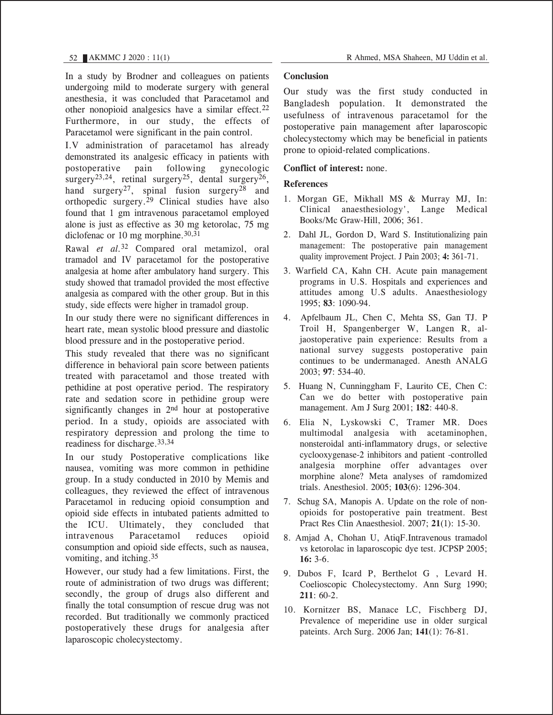In a study by Brodner and colleagues on patients undergoing mild to moderate surgery with general anesthesia, it was concluded that Paracetamol and other nonopioid analgesics have a similar effect.<sup>22</sup> Furthermore, in our study, the effects of Paracetamol were significant in the pain control.

I.V administration of paracetamol has already demonstrated its analgesic efficacy in patients with postoperative pain following gynecologic surgery<sup>23,24</sup>, retinal surgery<sup>25</sup>, dental surgery<sup>26</sup>, hand surgery<sup>27</sup>, spinal fusion surgery<sup>28</sup> and orthopedic surgery.29 Clinical studies have also found that 1 gm intravenous paracetamol employed alone is just as effective as 30 mg ketorolac, 75 mg diclofenac or 10 mg morphine. $30,31$ 

Rawal *et al.*32 Compared oral metamizol, oral tramadol and IV paracetamol for the postoperative analgesia at home after ambulatory hand surgery. This study showed that tramadol provided the most effective analgesia as compared with the other group. But in this study, side effects were higher in tramadol group.

In our study there were no significant differences in heart rate, mean systolic blood pressure and diastolic blood pressure and in the postoperative period.

This study revealed that there was no significant difference in behavioral pain score between patients treated with paracetamol and those treated with pethidine at post operative period. The respiratory rate and sedation score in pethidine group were significantly changes in 2<sup>nd</sup> hour at postoperative period. In a study, opioids are associated with respiratory depression and prolong the time to readiness for discharge.33,34

In our study Postoperative complications like nausea, vomiting was more common in pethidine group. In a study conducted in 2010 by Memis and colleagues, they reviewed the effect of intravenous Paracetamol in reducing opioid consumption and opioid side effects in intubated patients admitted to the ICU. Ultimately, they concluded that intravenous Paracetamol reduces opioid consumption and opioid side effects, such as nausea, vomiting, and itching.35

However, our study had a few limitations. First, the route of administration of two drugs was different; secondly, the group of drugs also different and finally the total consumption of rescue drug was not recorded. But traditionally we commonly practiced postoperatively these drugs for analgesia after laparoscopic cholecystectomy.

### **Conclusion**

Our study was the first study conducted in Bangladesh population. It demonstrated the usefulness of intravenous paracetamol for the postoperative pain management after laparoscopic cholecystectomy which may be beneficial in patients prone to opioid-related complications.

# **Conflict of interest:** none.

### **References**

- 1. Morgan GE, Mikhall MS & Murray MJ, In: Clinical anaesthesiology', Lange Medical Books/Mc Graw-Hill, 2006; 361.
- 2. Dahl JL, Gordon D, Ward S. Institutionalizing pain management: The postoperative pain management quality improvement Project. J Pain 2003; **4:** 361-71.
- 3. Warfield CA, Kahn CH. Acute pain management programs in U.S. Hospitals and experiences and attitudes among U.S adults. Anaesthesiology 1995; **83**: 1090-94.
- 4. Apfelbaum JL, Chen C, Mehta SS, Gan TJ. P Troil H, Spangenberger W, Langen R, aljaostoperative pain experience: Results from a national survey suggests postoperative pain continues to be undermanaged. Anesth ANALG 2003; **97**: 534-40.
- 5. Huang N, Cunninggham F, Laurito CE, Chen C: Can we do better with postoperative pain management. Am J Surg 2001; **182**: 440-8.
- 6. Elia N, Lyskowski C, Tramer MR. Does multimodal analgesia with acetaminophen, nonsteroidal anti-inflammatory drugs, or selective cyclooxygenase-2 inhibitors and patient -controlled analgesia morphine offer advantages over morphine alone? Meta analyses of ramdomized trials. Anesthesiol. 2005; **103**(6): 1296-304.
- 7. Schug SA, Manopis A. Update on the role of nonopioids for postoperative pain treatment. Best Pract Res Clin Anaesthesiol. 2007; **21**(1): 15-30.
- 8. Amjad A, Chohan U, AtiqF.Intravenous tramadol vs ketorolac in laparoscopic dye test. JCPSP 2005; **16:** 3-6.
- 9. Dubos F, Icard P, Berthelot G , Levard H. Coelioscopic Cholecystectomy. Ann Surg 1990; **211**: 60-2.
- 10. Kornitzer BS, Manace LC, Fischberg DJ, Prevalence of meperidine use in older surgical pateints. Arch Surg. 2006 Jan; **141**(1): 76-81.